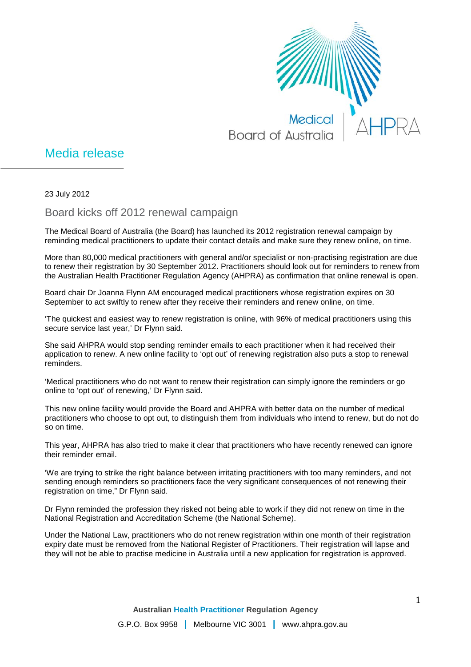

## Media release

23 July 2012

Board kicks off 2012 renewal campaign

The Medical Board of Australia (the Board) has launched its 2012 registration renewal campaign by reminding medical practitioners to update their contact details and make sure they renew online, on time.

More than 80,000 medical practitioners with general and/or specialist or non-practising registration are due to renew their registration by 30 September 2012. Practitioners should look out for reminders to renew from the Australian Health Practitioner Regulation Agency (AHPRA) as confirmation that online renewal is open.

Board chair Dr Joanna Flynn AM encouraged medical practitioners whose registration expires on 30 September to act swiftly to renew after they receive their reminders and renew online, on time.

'The quickest and easiest way to renew registration is online, with 96% of medical practitioners using this secure service last year,' Dr Flynn said.

She said AHPRA would stop sending reminder emails to each practitioner when it had received their application to renew. A new online facility to 'opt out' of renewing registration also puts a stop to renewal reminders.

'Medical practitioners who do not want to renew their registration can simply ignore the reminders or go online to 'opt out' of renewing,' Dr Flynn said.

This new online facility would provide the Board and AHPRA with better data on the number of medical practitioners who choose to opt out, to distinguish them from individuals who intend to renew, but do not do so on time.

This year, AHPRA has also tried to make it clear that practitioners who have recently renewed can ignore their reminder email.

'We are trying to strike the right balance between irritating practitioners with too many reminders, and not sending enough reminders so practitioners face the very significant consequences of not renewing their registration on time," Dr Flynn said.

Dr Flynn reminded the profession they risked not being able to work if they did not renew on time in the National Registration and Accreditation Scheme (the National Scheme).

Under the National Law, practitioners who do not renew registration within one month of their registration expiry date must be removed from the National Register of Practitioners. Their registration will lapse and they will not be able to practise medicine in Australia until a new application for registration is approved.